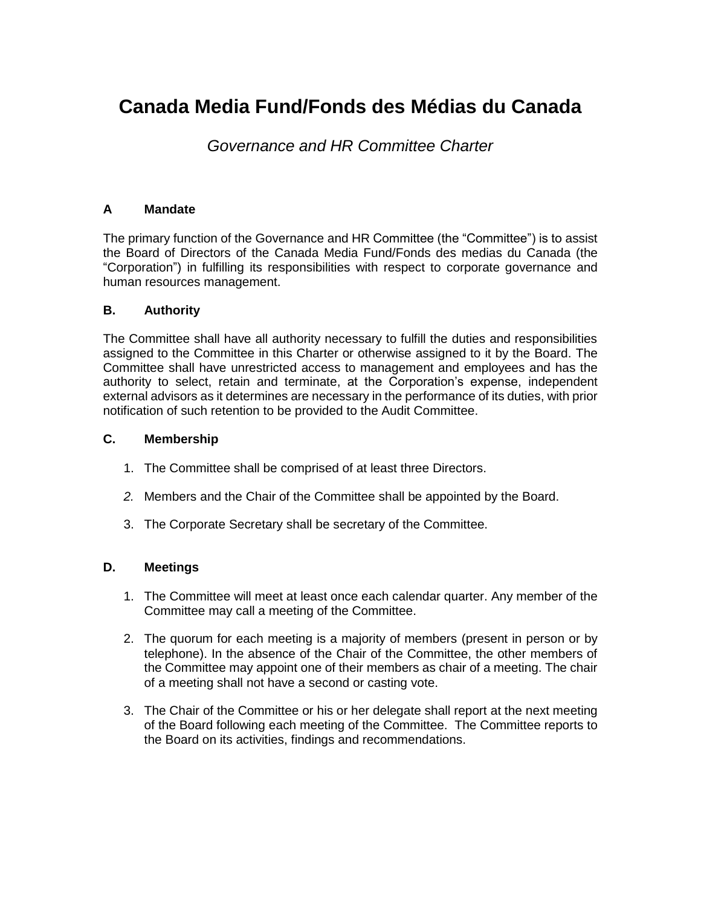# **Canada Media Fund/Fonds des Médias du Canada**

# *Governance and HR Committee Charter*

# **A Mandate**

The primary function of the Governance and HR Committee (the "Committee") is to assist the Board of Directors of the Canada Media Fund/Fonds des medias du Canada (the "Corporation") in fulfilling its responsibilities with respect to corporate governance and human resources management.

## **B. Authority**

The Committee shall have all authority necessary to fulfill the duties and responsibilities assigned to the Committee in this Charter or otherwise assigned to it by the Board. The Committee shall have unrestricted access to management and employees and has the authority to select, retain and terminate, at the Corporation's expense, independent external advisors as it determines are necessary in the performance of its duties, with prior notification of such retention to be provided to the Audit Committee.

# **C. Membership**

- 1. The Committee shall be comprised of at least three Directors.
- *2.* Members and the Chair of the Committee shall be appointed by the Board.
- 3. The Corporate Secretary shall be secretary of the Committee.

# **D. Meetings**

- 1. The Committee will meet at least once each calendar quarter. Any member of the Committee may call a meeting of the Committee.
- 2. The quorum for each meeting is a majority of members (present in person or by telephone). In the absence of the Chair of the Committee, the other members of the Committee may appoint one of their members as chair of a meeting. The chair of a meeting shall not have a second or casting vote.
- 3. The Chair of the Committee or his or her delegate shall report at the next meeting of the Board following each meeting of the Committee. The Committee reports to the Board on its activities, findings and recommendations.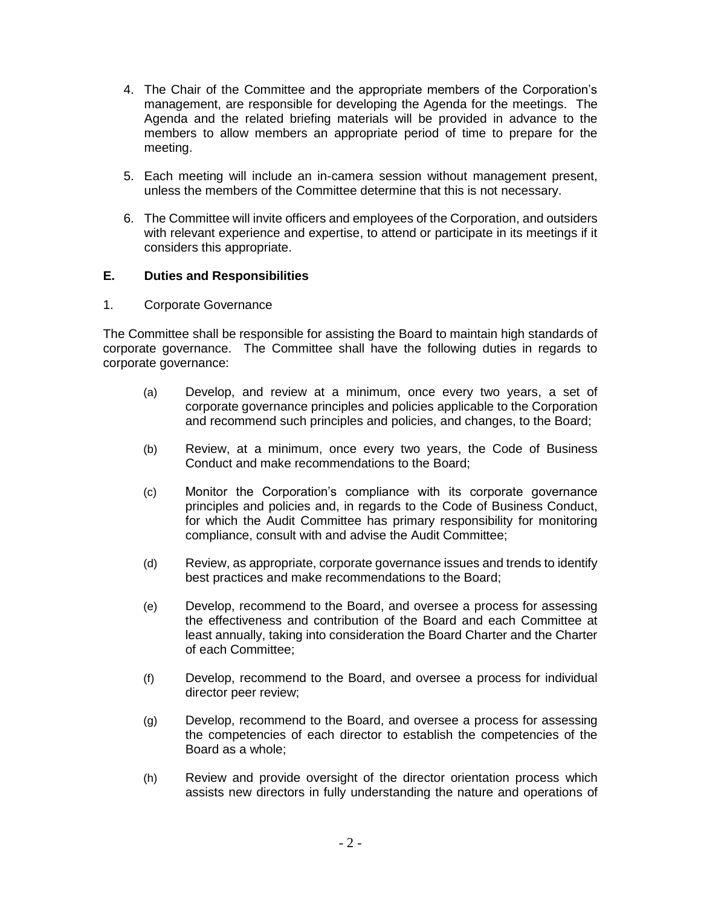- 4. The Chair of the Committee and the appropriate members of the Corporation's management, are responsible for developing the Agenda for the meetings. The Agenda and the related briefing materials will be provided in advance to the members to allow members an appropriate period of time to prepare for the meeting.
- 5. Each meeting will include an in-camera session without management present, unless the members of the Committee determine that this is not necessary.
- 6. The Committee will invite officers and employees of the Corporation, and outsiders with relevant experience and expertise, to attend or participate in its meetings if it considers this appropriate.

## **E. Duties and Responsibilities**

1. Corporate Governance

The Committee shall be responsible for assisting the Board to maintain high standards of corporate governance. The Committee shall have the following duties in regards to corporate governance:

- (a) Develop, and review at a minimum, once every two years, a set of corporate governance principles and policies applicable to the Corporation and recommend such principles and policies, and changes, to the Board;
- (b) Review, at a minimum, once every two years, the Code of Business Conduct and make recommendations to the Board;
- (c) Monitor the Corporation's compliance with its corporate governance principles and policies and, in regards to the Code of Business Conduct, for which the Audit Committee has primary responsibility for monitoring compliance, consult with and advise the Audit Committee;
- (d) Review, as appropriate, corporate governance issues and trends to identify best practices and make recommendations to the Board;
- (e) Develop, recommend to the Board, and oversee a process for assessing the effectiveness and contribution of the Board and each Committee at least annually, taking into consideration the Board Charter and the Charter of each Committee;
- (f) Develop, recommend to the Board, and oversee a process for individual director peer review;
- (g) Develop, recommend to the Board, and oversee a process for assessing the competencies of each director to establish the competencies of the Board as a whole;
- (h) Review and provide oversight of the director orientation process which assists new directors in fully understanding the nature and operations of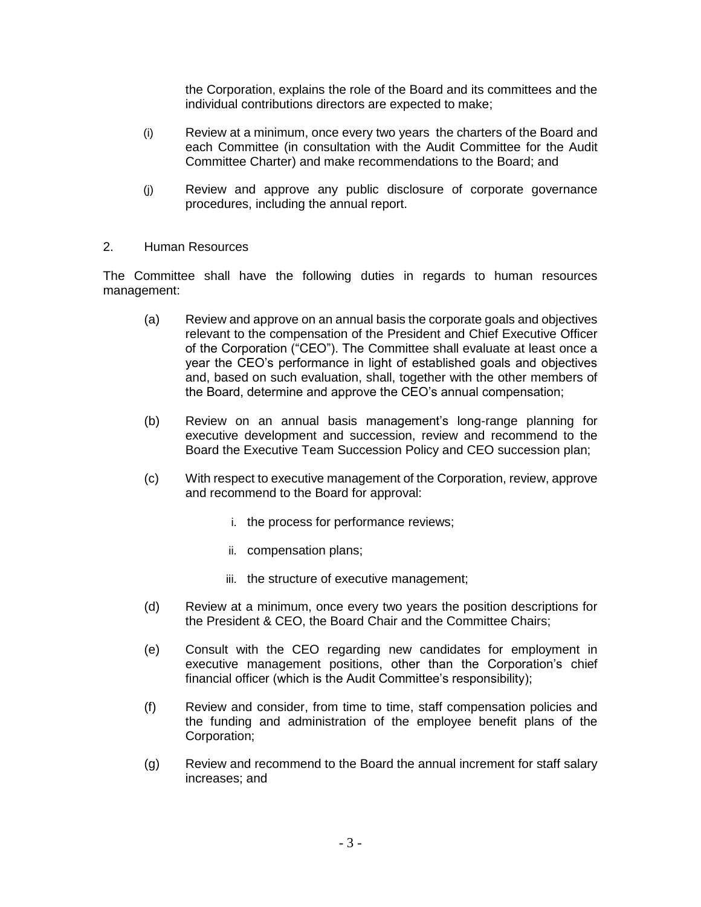the Corporation, explains the role of the Board and its committees and the individual contributions directors are expected to make;

- (i) Review at a minimum, once every two years the charters of the Board and each Committee (in consultation with the Audit Committee for the Audit Committee Charter) and make recommendations to the Board; and
- (j) Review and approve any public disclosure of corporate governance procedures, including the annual report.
- 2. Human Resources

The Committee shall have the following duties in regards to human resources management:

- (a) Review and approve on an annual basis the corporate goals and objectives relevant to the compensation of the President and Chief Executive Officer of the Corporation ("CEO"). The Committee shall evaluate at least once a year the CEO's performance in light of established goals and objectives and, based on such evaluation, shall, together with the other members of the Board, determine and approve the CEO's annual compensation;
- (b) Review on an annual basis management's long-range planning for executive development and succession, review and recommend to the Board the Executive Team Succession Policy and CEO succession plan;
- (c) With respect to executive management of the Corporation, review, approve and recommend to the Board for approval:
	- i. the process for performance reviews;
	- ii. compensation plans;
	- iii. the structure of executive management;
- (d) Review at a minimum, once every two years the position descriptions for the President & CEO, the Board Chair and the Committee Chairs;
- (e) Consult with the CEO regarding new candidates for employment in executive management positions, other than the Corporation's chief financial officer (which is the Audit Committee's responsibility);
- (f) Review and consider, from time to time, staff compensation policies and the funding and administration of the employee benefit plans of the Corporation;
- (g) Review and recommend to the Board the annual increment for staff salary increases; and